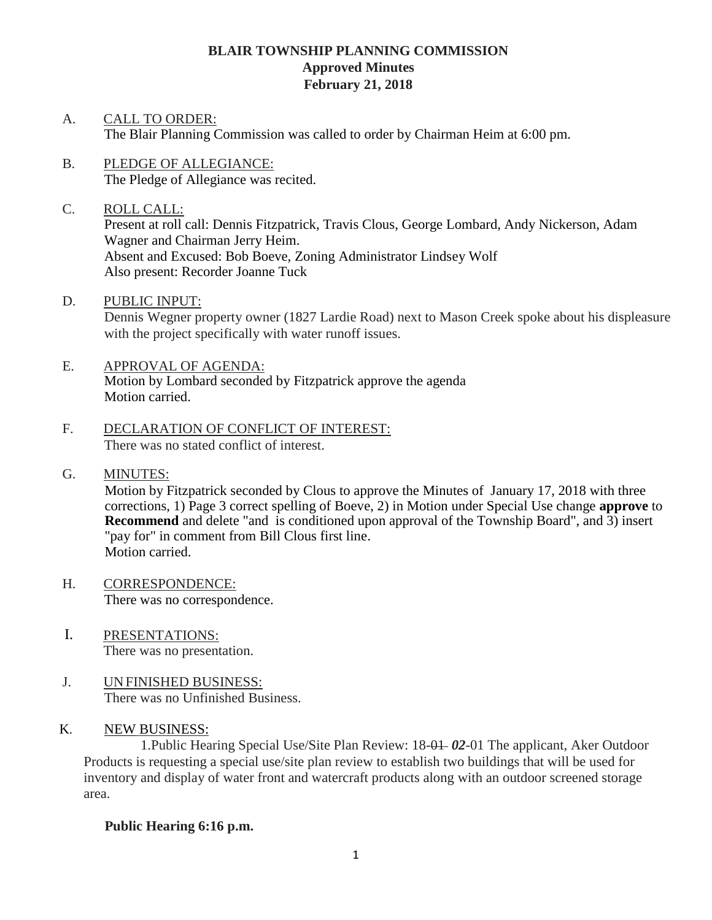# **BLAIR TOWNSHIP PLANNING COMMISSION Approved Minutes February 21, 2018**

- A. CALL TO ORDER: The Blair Planning Commission was called to order by Chairman Heim at 6:00 pm.
- B. PLEDGE OF ALLEGIANCE: The Pledge of Allegiance was recited.
- C. ROLL CALL: Present at roll call: Dennis Fitzpatrick, Travis Clous, George Lombard, Andy Nickerson, Adam Wagner and Chairman Jerry Heim. Absent and Excused: Bob Boeve, Zoning Administrator Lindsey Wolf Also present: Recorder Joanne Tuck
- D. PUBLIC INPUT: Dennis Wegner property owner (1827 Lardie Road) next to Mason Creek spoke about his displeasure with the project specifically with water runoff issues.
- E. APPROVAL OF AGENDA: Motion by Lombard seconded by Fitzpatrick approve the agenda Motion carried.
- F. DECLARATION OF CONFLICT OF INTEREST: There was no stated conflict of interest.
- G. MINUTES:

Motion by Fitzpatrick seconded by Clous to approve the Minutes of January 17, 2018 with three corrections, 1) Page 3 correct spelling of Boeve, 2) in Motion under Special Use change **approve** to **Recommend** and delete "and is conditioned upon approval of the Township Board", and 3) insert "pay for" in comment from Bill Clous first line. Motion carried.

- H. CORRESPONDENCE: There was no correspondence.
- I. PRESENTATIONS: There was no presentation.
- J. UNFINISHED BUSINESS: There was no Unfinished Business.
- K. NEW BUSINESS:

 1.Public Hearing Special Use/Site Plan Review: 18-01 *02*-01 The applicant, Aker Outdoor Products is requesting a special use/site plan review to establish two buildings that will be used for inventory and display of water front and watercraft products along with an outdoor screened storage area.

# **Public Hearing 6:16 p.m.**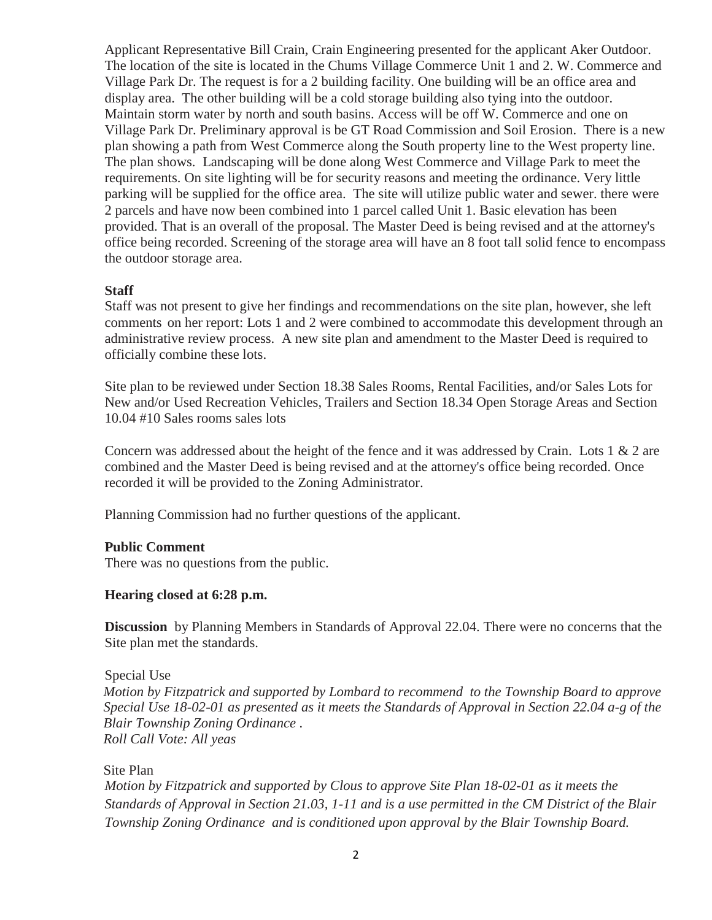Applicant Representative Bill Crain, Crain Engineering presented for the applicant Aker Outdoor. The location of the site is located in the Chums Village Commerce Unit 1 and 2. W. Commerce and Village Park Dr. The request is for a 2 building facility. One building will be an office area and display area. The other building will be a cold storage building also tying into the outdoor. Maintain storm water by north and south basins. Access will be off W. Commerce and one on Village Park Dr. Preliminary approval is be GT Road Commission and Soil Erosion. There is a new plan showing a path from West Commerce along the South property line to the West property line. The plan shows. Landscaping will be done along West Commerce and Village Park to meet the requirements. On site lighting will be for security reasons and meeting the ordinance. Very little parking will be supplied for the office area. The site will utilize public water and sewer. there were 2 parcels and have now been combined into 1 parcel called Unit 1. Basic elevation has been provided. That is an overall of the proposal. The Master Deed is being revised and at the attorney's office being recorded. Screening of the storage area will have an 8 foot tall solid fence to encompass the outdoor storage area.

## **Staff**

Staff was not present to give her findings and recommendations on the site plan, however, she left comments on her report: Lots 1 and 2 were combined to accommodate this development through an administrative review process. A new site plan and amendment to the Master Deed is required to officially combine these lots.

Site plan to be reviewed under Section 18.38 Sales Rooms, Rental Facilities, and/or Sales Lots for New and/or Used Recreation Vehicles, Trailers and Section 18.34 Open Storage Areas and Section 10.04 #10 Sales rooms sales lots

Concern was addressed about the height of the fence and it was addressed by Crain. Lots 1 & 2 are combined and the Master Deed is being revised and at the attorney's office being recorded. Once recorded it will be provided to the Zoning Administrator.

Planning Commission had no further questions of the applicant.

## **Public Comment**

There was no questions from the public.

## **Hearing closed at 6:28 p.m.**

**Discussion** by Planning Members in Standards of Approval 22.04. There were no concerns that the Site plan met the standards.

Special Use

*Motion by Fitzpatrick and supported by Lombard to recommend to the Township Board to approve Special Use 18-02-01 as presented as it meets the Standards of Approval in Section 22.04 a-g of the Blair Township Zoning Ordinance . Roll Call Vote: All yeas*

## Site Plan

*Motion by Fitzpatrick and supported by Clous to approve Site Plan 18-02-01 as it meets the Standards of Approval in Section 21.03, 1-11 and is a use permitted in the CM District of the Blair Township Zoning Ordinance and is conditioned upon approval by the Blair Township Board.*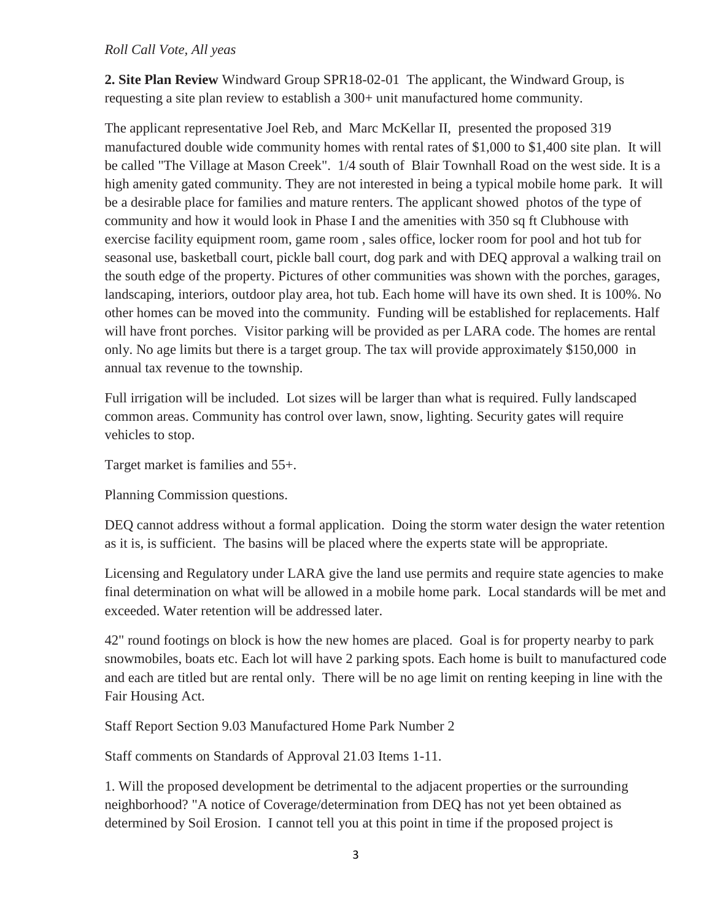## *Roll Call Vote, All yeas*

**2. Site Plan Review** Windward Group SPR18-02-01 The applicant, the Windward Group, is requesting a site plan review to establish a 300+ unit manufactured home community.

The applicant representative Joel Reb, and Marc McKellar II, presented the proposed 319 manufactured double wide community homes with rental rates of \$1,000 to \$1,400 site plan. It will be called "The Village at Mason Creek". 1/4 south of Blair Townhall Road on the west side. It is a high amenity gated community. They are not interested in being a typical mobile home park. It will be a desirable place for families and mature renters. The applicant showed photos of the type of community and how it would look in Phase I and the amenities with 350 sq ft Clubhouse with exercise facility equipment room, game room , sales office, locker room for pool and hot tub for seasonal use, basketball court, pickle ball court, dog park and with DEQ approval a walking trail on the south edge of the property. Pictures of other communities was shown with the porches, garages, landscaping, interiors, outdoor play area, hot tub. Each home will have its own shed. It is 100%. No other homes can be moved into the community. Funding will be established for replacements. Half will have front porches. Visitor parking will be provided as per LARA code. The homes are rental only. No age limits but there is a target group. The tax will provide approximately \$150,000 in annual tax revenue to the township.

Full irrigation will be included. Lot sizes will be larger than what is required. Fully landscaped common areas. Community has control over lawn, snow, lighting. Security gates will require vehicles to stop.

Target market is families and 55+.

Planning Commission questions.

DEQ cannot address without a formal application. Doing the storm water design the water retention as it is, is sufficient. The basins will be placed where the experts state will be appropriate.

Licensing and Regulatory under LARA give the land use permits and require state agencies to make final determination on what will be allowed in a mobile home park. Local standards will be met and exceeded. Water retention will be addressed later.

42" round footings on block is how the new homes are placed. Goal is for property nearby to park snowmobiles, boats etc. Each lot will have 2 parking spots. Each home is built to manufactured code and each are titled but are rental only. There will be no age limit on renting keeping in line with the Fair Housing Act.

Staff Report Section 9.03 Manufactured Home Park Number 2

Staff comments on Standards of Approval 21.03 Items 1-11.

1. Will the proposed development be detrimental to the adjacent properties or the surrounding neighborhood? "A notice of Coverage/determination from DEQ has not yet been obtained as determined by Soil Erosion. I cannot tell you at this point in time if the proposed project is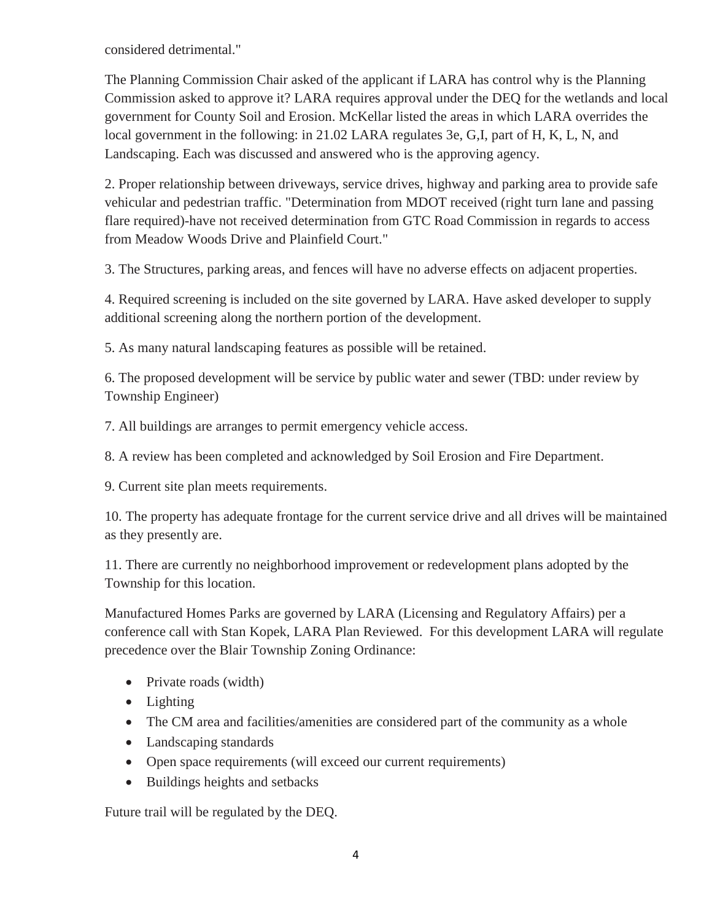considered detrimental."

The Planning Commission Chair asked of the applicant if LARA has control why is the Planning Commission asked to approve it? LARA requires approval under the DEQ for the wetlands and local government for County Soil and Erosion. McKellar listed the areas in which LARA overrides the local government in the following: in 21.02 LARA regulates 3e, G,I, part of H, K, L, N, and Landscaping. Each was discussed and answered who is the approving agency.

2. Proper relationship between driveways, service drives, highway and parking area to provide safe vehicular and pedestrian traffic. "Determination from MDOT received (right turn lane and passing flare required)-have not received determination from GTC Road Commission in regards to access from Meadow Woods Drive and Plainfield Court."

3. The Structures, parking areas, and fences will have no adverse effects on adjacent properties.

4. Required screening is included on the site governed by LARA. Have asked developer to supply additional screening along the northern portion of the development.

5. As many natural landscaping features as possible will be retained.

6. The proposed development will be service by public water and sewer (TBD: under review by Township Engineer)

7. All buildings are arranges to permit emergency vehicle access.

8. A review has been completed and acknowledged by Soil Erosion and Fire Department.

9. Current site plan meets requirements.

10. The property has adequate frontage for the current service drive and all drives will be maintained as they presently are.

11. There are currently no neighborhood improvement or redevelopment plans adopted by the Township for this location.

Manufactured Homes Parks are governed by LARA (Licensing and Regulatory Affairs) per a conference call with Stan Kopek, LARA Plan Reviewed. For this development LARA will regulate precedence over the Blair Township Zoning Ordinance:

- Private roads (width)
- Lighting
- The CM area and facilities/amenities are considered part of the community as a whole
- Landscaping standards
- Open space requirements (will exceed our current requirements)
- Buildings heights and setbacks

Future trail will be regulated by the DEQ.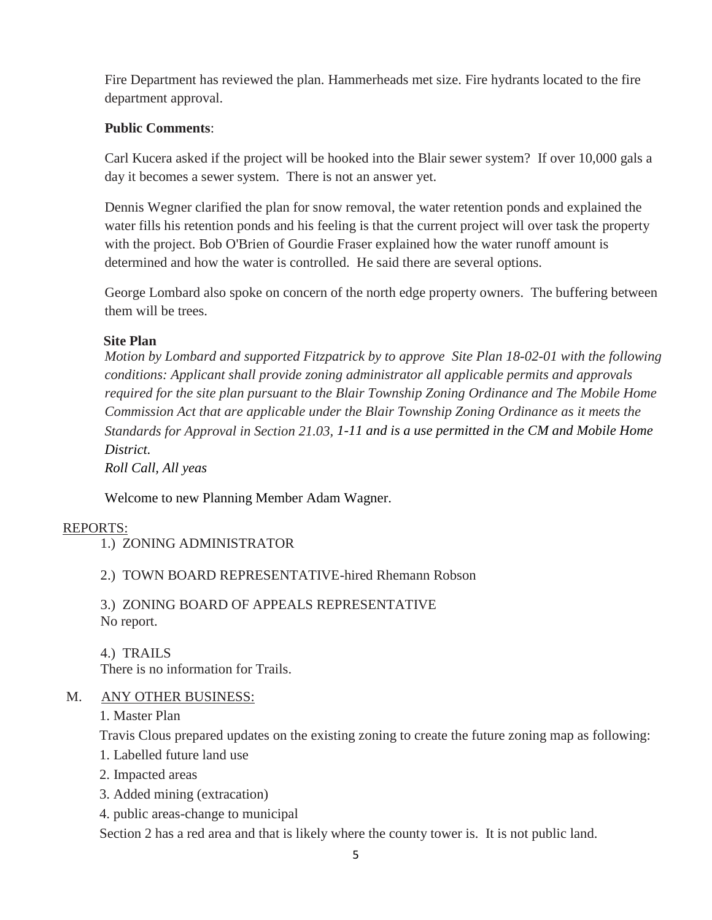Fire Department has reviewed the plan. Hammerheads met size. Fire hydrants located to the fire department approval.

# **Public Comments**:

Carl Kucera asked if the project will be hooked into the Blair sewer system? If over 10,000 gals a day it becomes a sewer system. There is not an answer yet.

Dennis Wegner clarified the plan for snow removal, the water retention ponds and explained the water fills his retention ponds and his feeling is that the current project will over task the property with the project. Bob O'Brien of Gourdie Fraser explained how the water runoff amount is determined and how the water is controlled. He said there are several options.

George Lombard also spoke on concern of the north edge property owners. The buffering between them will be trees.

## **Site Plan**

*Motion by Lombard and supported Fitzpatrick by to approve Site Plan 18-02-01 with the following conditions: Applicant shall provide zoning administrator all applicable permits and approvals required for the site plan pursuant to the Blair Township Zoning Ordinance and The Mobile Home Commission Act that are applicable under the Blair Township Zoning Ordinance as it meets the Standards for Approval in Section 21.03, 1-11 and is a use permitted in the CM and Mobile Home District.* 

*Roll Call, All yeas*

Welcome to new Planning Member Adam Wagner.

# REPORTS:

- 1.) ZONING ADMINISTRATOR
- 2.) TOWN BOARD REPRESENTATIVE-hired Rhemann Robson

3.) ZONING BOARD OF APPEALS REPRESENTATIVE No report.

4.) TRAILS There is no information for Trails.

## M. ANY OTHER BUSINESS:

1. Master Plan

Travis Clous prepared updates on the existing zoning to create the future zoning map as following:

- 1. Labelled future land use
- 2. Impacted areas
- 3. Added mining (extracation)
- 4. public areas-change to municipal

Section 2 has a red area and that is likely where the county tower is. It is not public land.